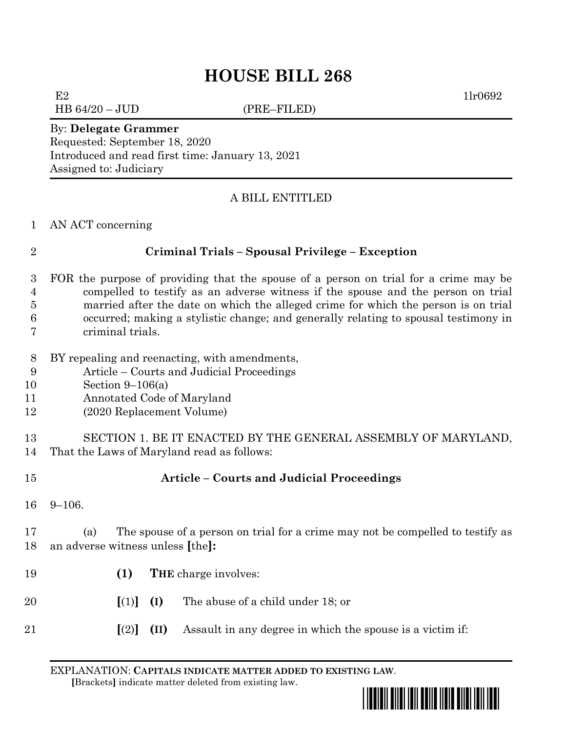# **HOUSE BILL 268**

HB 64/20 – JUD (PRE–FILED)

 $E2$  1lr0692

#### By: **Delegate Grammer**

Requested: September 18, 2020 Introduced and read first time: January 13, 2021 Assigned to: Judiciary

# A BILL ENTITLED

### AN ACT concerning

# **Criminal Trials – Spousal Privilege – Exception**

- FOR the purpose of providing that the spouse of a person on trial for a crime may be compelled to testify as an adverse witness if the spouse and the person on trial married after the date on which the alleged crime for which the person is on trial occurred; making a stylistic change; and generally relating to spousal testimony in criminal trials.
- BY repealing and reenacting, with amendments,
- Article Courts and Judicial Proceedings
- Section 9–106(a)
- Annotated Code of Maryland
- (2020 Replacement Volume)

 SECTION 1. BE IT ENACTED BY THE GENERAL ASSEMBLY OF MARYLAND, That the Laws of Maryland read as follows:

- **Article – Courts and Judicial Proceedings**
- 9–106.

 (a) The spouse of a person on trial for a crime may not be compelled to testify as an adverse witness unless **[**the**]:**

- **(1) THE** charge involves:
- **[**(1)**] (I)** The abuse of a child under 18; or
- **[**(2)**] (II)** Assault in any degree in which the spouse is a victim if:

EXPLANATION: **CAPITALS INDICATE MATTER ADDED TO EXISTING LAW**.  **[**Brackets**]** indicate matter deleted from existing law.